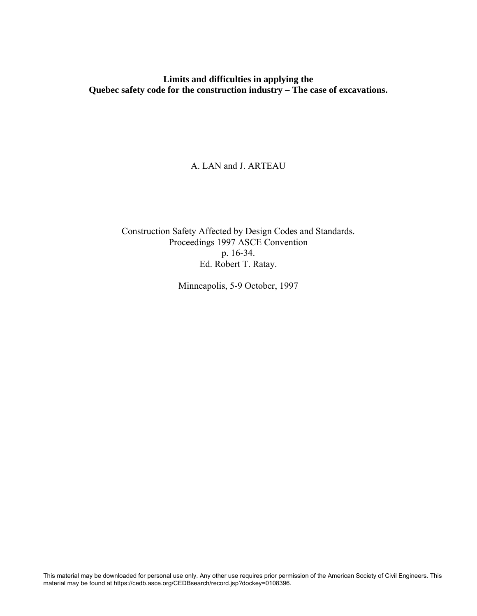**Limits and difficulties in applying the Quebec safety code for the construction industry – The case of excavations.** 

A. LAN and J. ARTEAU

Construction Safety Affected by Design Codes and Standards. Proceedings 1997 ASCE Convention p. 16-34. Ed. Robert T. Ratay.

Minneapolis, 5-9 October, 1997

This material may be downloaded for personal use only. Any other use requires prior permission of the American Society of Civil Engineers. This material may be found at https://cedb.asce.org/CEDBsearch/record.jsp?dockey=0108396.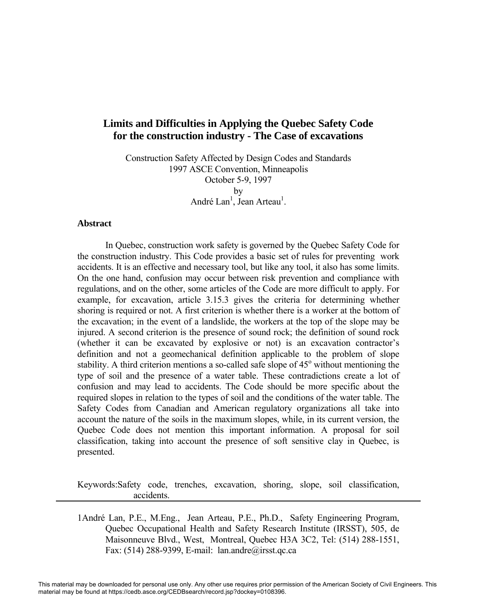# **Limits and Difficulties in Applying the Quebec Safety Code for the construction industry - The Case of excavations**

Construction Safety Affected by Design Codes and Standards 1997 ASCE Convention, Minneapolis October 5-9, 1997 by André Lan<sup>1</sup>, Jean Arteau<sup>1</sup>.

#### **Abstract**

In Quebec, construction work safety is governed by the Quebec Safety Code for the construction industry. This Code provides a basic set of rules for preventing work accidents. It is an effective and necessary tool, but like any tool, it also has some limits. On the one hand, confusion may occur between risk prevention and compliance with regulations, and on the other, some articles of the Code are more difficult to apply. For example, for excavation, article 3.15.3 gives the criteria for determining whether shoring is required or not. A first criterion is whether there is a worker at the bottom of the excavation; in the event of a landslide, the workers at the top of the slope may be injured. A second criterion is the presence of sound rock; the definition of sound rock (whether it can be excavated by explosive or not) is an excavation contractor's definition and not a geomechanical definition applicable to the problem of slope stability. A third criterion mentions a so-called safe slope of  $45^\circ$  without mentioning the type of soil and the presence of a water table. These contradictions create a lot of confusion and may lead to accidents. The Code should be more specific about the required slopes in relation to the types of soil and the conditions of the water table. The Safety Codes from Canadian and American regulatory organizations all take into account the nature of the soils in the maximum slopes, while, in its current version, the Quebec Code does not mention this important information. A proposal for soil classification, taking into account the presence of soft sensitive clay in Quebec, is presented.

Keywords:Safety code, trenches, excavation, shoring, slope, soil classification, accidents.

1André Lan, P.E., M.Eng., Jean Arteau, P.E., Ph.D., Safety Engineering Program, Quebec Occupational Health and Safety Research Institute (IRSST), 505, de Maisonneuve Blvd., West, Montreal, Quebec H3A 3C2, Tel: (514) 288-1551, Fax: (514) 288-9399, E-mail: lan.andre@irsst.qc.ca

This material may be downloaded for personal use only. Any other use requires prior permission of the American Society of Civil Engineers. This material may be found at https://cedb.asce.org/CEDBsearch/record.jsp?dockey=0108396.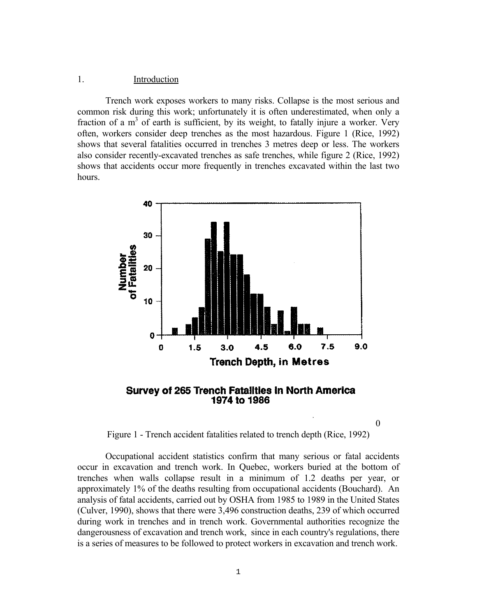### 1. Introduction

 Trench work exposes workers to many risks. Collapse is the most serious and common risk during this work; unfortunately it is often underestimated, when only a fraction of a  $m<sup>3</sup>$  of earth is sufficient, by its weight, to fatally injure a worker. Very often, workers consider deep trenches as the most hazardous. Figure 1 (Rice, 1992) shows that several fatalities occurred in trenches 3 metres deep or less. The workers also consider recently-excavated trenches as safe trenches, while figure 2 (Rice, 1992) shows that accidents occur more frequently in trenches excavated within the last two hours.



**Survey of 265 Trench Fatalities in North America 1974 to 1986** 

Figure 1 - Trench accident fatalities related to trench depth (Rice, 1992)

0

 Occupational accident statistics confirm that many serious or fatal accidents occur in excavation and trench work. In Quebec, workers buried at the bottom of trenches when walls collapse result in a minimum of 1.2 deaths per year, or approximately 1% of the deaths resulting from occupational accidents (Bouchard). An analysis of fatal accidents, carried out by OSHA from 1985 to 1989 in the United States (Culver, 1990), shows that there were 3,496 construction deaths, 239 of which occurred during work in trenches and in trench work. Governmental authorities recognize the dangerousness of excavation and trench work, since in each country's regulations, there is a series of measures to be followed to protect workers in excavation and trench work.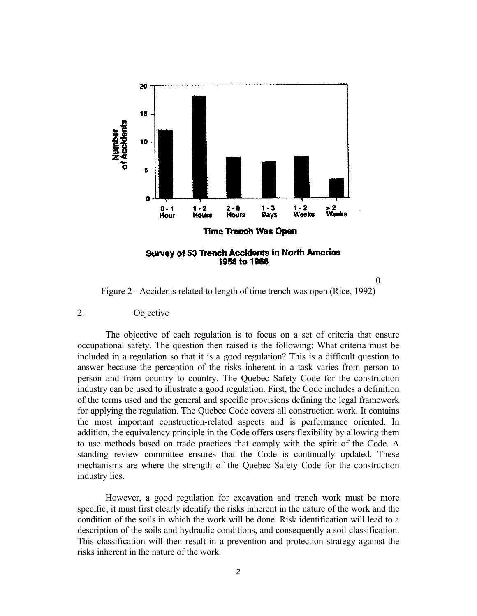

0

Figure 2 - Accidents related to length of time trench was open (Rice, 1992)

#### 2. Objective

 The objective of each regulation is to focus on a set of criteria that ensure occupational safety. The question then raised is the following: What criteria must be included in a regulation so that it is a good regulation? This is a difficult question to answer because the perception of the risks inherent in a task varies from person to person and from country to country. The Quebec Safety Code for the construction industry can be used to illustrate a good regulation. First, the Code includes a definition of the terms used and the general and specific provisions defining the legal framework for applying the regulation. The Quebec Code covers all construction work. It contains the most important construction-related aspects and is performance oriented. In addition, the equivalency principle in the Code offers users flexibility by allowing them to use methods based on trade practices that comply with the spirit of the Code. A standing review committee ensures that the Code is continually updated. These mechanisms are where the strength of the Quebec Safety Code for the construction industry lies.

 However, a good regulation for excavation and trench work must be more specific; it must first clearly identify the risks inherent in the nature of the work and the condition of the soils in which the work will be done. Risk identification will lead to a description of the soils and hydraulic conditions, and consequently a soil classification. This classification will then result in a prevention and protection strategy against the risks inherent in the nature of the work.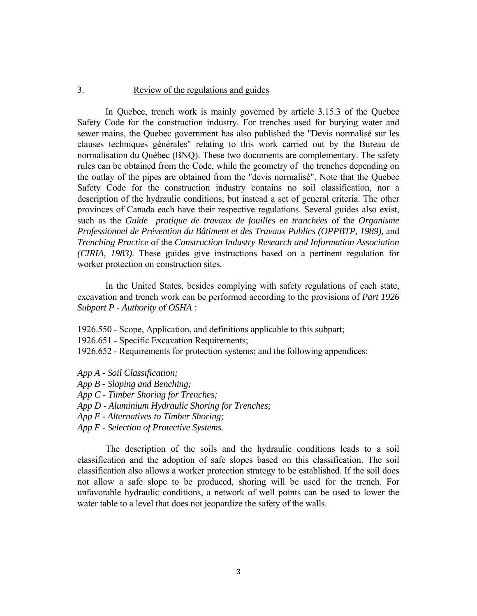### 3. Review of the regulations and guides

 In Quebec, trench work is mainly governed by article 3.15.3 of the Quebec Safety Code for the construction industry. For trenches used for burying water and sewer mains, the Quebec government has also published the "Devis normalisé sur les clauses techniques générales" relating to this work carried out by the Bureau de normalisation du Québec (BNQ). These two documents are complementary. The safety rules can be obtained from the Code, while the geometry of the trenches depending on the outlay of the pipes are obtained from the "devis normalisé". Note that the Quebec Safety Code for the construction industry contains no soil classification, nor a description of the hydraulic conditions, but instead a set of general criteria. The other provinces of Canada each have their respective regulations. Several guides also exist, such as the *Guide pratique de travaux de fouilles en tranchées* of the *Organisme Professionnel de Prévention du Bâtiment et des Travaux Publics (OPPBTP, 1989)*, and *Trenching Practice* of the *Construction Industry Research and Information Association (CIRIA, 1983)*. These guides give instructions based on a pertinent regulation for worker protection on construction sites.

 In the United States, besides complying with safety regulations of each state, excavation and trench work can be performed according to the provisions of *Part 1926 Subpart P - Authority* of *OSHA :*

- 1926.550 Scope, Application, and definitions applicable to this subpart;
- 1926.651 Specific Excavation Requirements;
- 1926.652 Requirements for protection systems; and the following appendices:
- *App A Soil Classification;*
- *App B Sloping and Benching;*
- *App C Timber Shoring for Trenches;*
- *App D Aluminium Hydraulic Shoring for Trenches;*
- *App E Alternatives to Timber Shoring;*
- *App F Selection of Protective Systems.*

 The description of the soils and the hydraulic conditions leads to a soil classification and the adoption of safe slopes based on this classification. The soil classification also allows a worker protection strategy to be established. If the soil does not allow a safe slope to be produced, shoring will be used for the trench. For unfavorable hydraulic conditions, a network of well points can be used to lower the water table to a level that does not jeopardize the safety of the walls.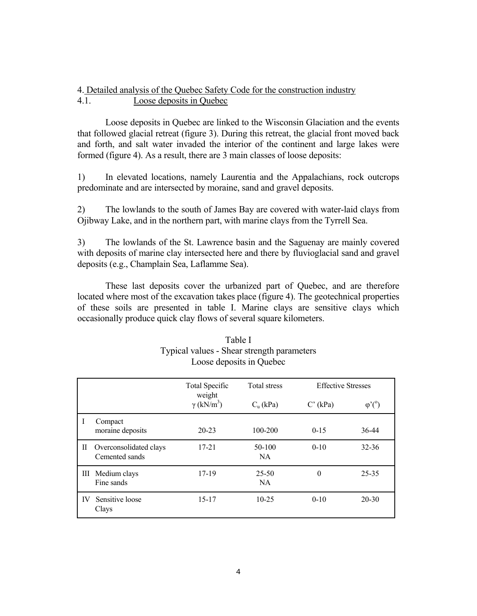### 4. Detailed analysis of the Quebec Safety Code for the construction industry 4.1. Loose deposits in Quebec

 Loose deposits in Quebec are linked to the Wisconsin Glaciation and the events that followed glacial retreat (figure 3). During this retreat, the glacial front moved back and forth, and salt water invaded the interior of the continent and large lakes were formed (figure 4). As a result, there are 3 main classes of loose deposits:

1) In elevated locations, namely Laurentia and the Appalachians, rock outcrops predominate and are intersected by moraine, sand and gravel deposits.

2) The lowlands to the south of James Bay are covered with water-laid clays from Ojibway Lake, and in the northern part, with marine clays from the Tyrrell Sea.

3) The lowlands of the St. Lawrence basin and the Saguenay are mainly covered with deposits of marine clay intersected here and there by fluvioglacial sand and gravel deposits (e.g., Champlain Sea, Laflamme Sea).

 These last deposits cover the urbanized part of Quebec, and are therefore located where most of the excavation takes place (figure 4). The geotechnical properties of these soils are presented in table I. Marine clays are sensitive clays which occasionally produce quick clay flows of several square kilometers.

|    |                                          | <b>Total Specific</b><br>weight | <b>Total stress</b>    | <b>Effective Stresses</b> |                |
|----|------------------------------------------|---------------------------------|------------------------|---------------------------|----------------|
|    |                                          | $\gamma$ (kN/m <sup>3</sup> )   | $C_u$ (kPa)            | $C'$ (kPa)                | $\varphi$ '(°) |
|    | Compact<br>moraine deposits              | $20 - 23$                       | $100 - 200$            | $0 - 15$                  | 36-44          |
| П  | Overconsolidated clays<br>Cemented sands | 17-21                           | 50-100<br>NA.          | $0 - 10$                  | $32 - 36$      |
| Ш  | Medium clays<br>Fine sands               | 17-19                           | $25 - 50$<br><b>NA</b> | $\Omega$                  | $25 - 35$      |
| IV | Sensitive loose<br>Clays                 | $15 - 17$                       | $10 - 25$              | $0-10$                    | $20 - 30$      |

# Table I Typical values - Shear strength parameters Loose deposits in Quebec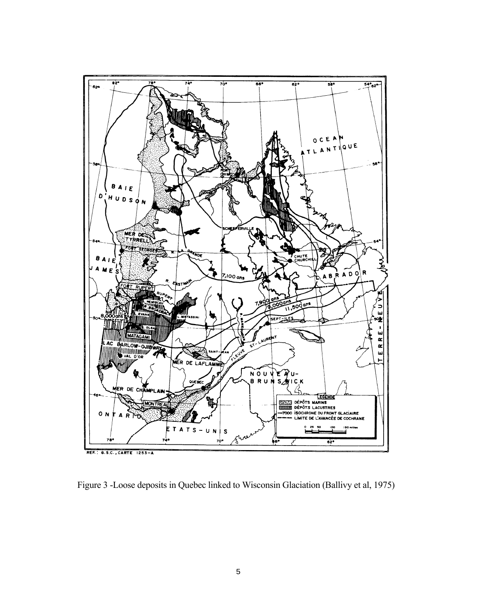

Figure 3 -Loose deposits in Quebec linked to Wisconsin Glaciation (Ballivy et al, 1975)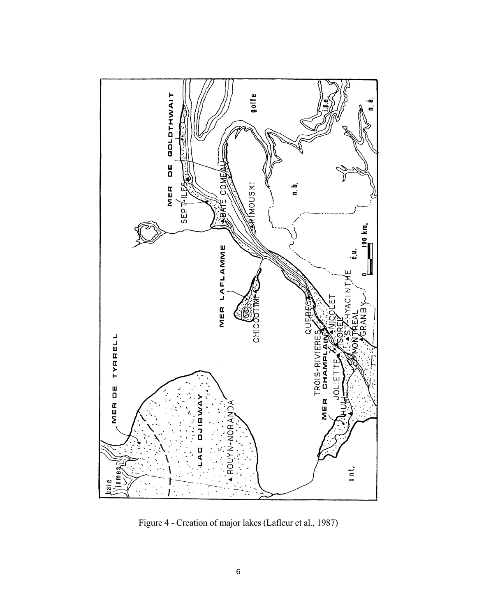

Figure 4 - Creation of major lakes (Lafleur et al., 1987)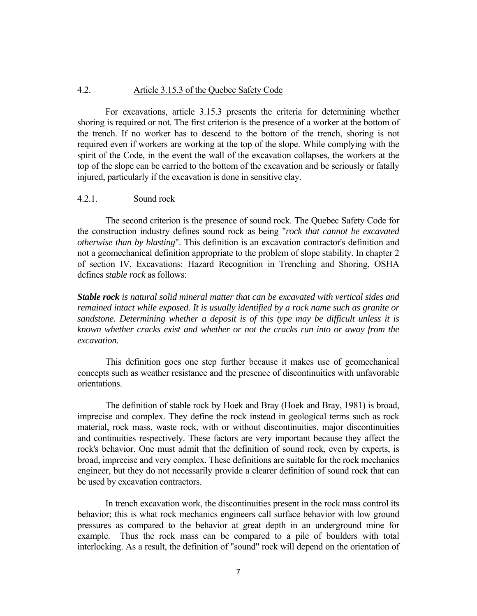### 4.2. Article 3.15.3 of the Quebec Safety Code

 For excavations, article 3.15.3 presents the criteria for determining whether shoring is required or not. The first criterion is the presence of a worker at the bottom of the trench. If no worker has to descend to the bottom of the trench, shoring is not required even if workers are working at the top of the slope. While complying with the spirit of the Code, in the event the wall of the excavation collapses, the workers at the top of the slope can be carried to the bottom of the excavation and be seriously or fatally injured, particularly if the excavation is done in sensitive clay.

#### 4.2.1. Sound rock

 The second criterion is the presence of sound rock. The Quebec Safety Code for the construction industry defines sound rock as being "*rock that cannot be excavated otherwise than by blasting*". This definition is an excavation contractor's definition and not a geomechanical definition appropriate to the problem of slope stability. In chapter 2 of section IV, Excavations: Hazard Recognition in Trenching and Shoring, OSHA defines *stable rock* as follows:

*Stable rock is natural solid mineral matter that can be excavated with vertical sides and remained intact while exposed. It is usually identified by a rock name such as granite or sandstone. Determining whether a deposit is of this type may be difficult unless it is known whether cracks exist and whether or not the cracks run into or away from the excavation.* 

 This definition goes one step further because it makes use of geomechanical concepts such as weather resistance and the presence of discontinuities with unfavorable orientations.

 The definition of stable rock by Hoek and Bray (Hoek and Bray, 1981) is broad, imprecise and complex. They define the rock instead in geological terms such as rock material, rock mass, waste rock, with or without discontinuities, major discontinuities and continuities respectively. These factors are very important because they affect the rock's behavior. One must admit that the definition of sound rock, even by experts, is broad, imprecise and very complex. These definitions are suitable for the rock mechanics engineer, but they do not necessarily provide a clearer definition of sound rock that can be used by excavation contractors.

 In trench excavation work, the discontinuities present in the rock mass control its behavior; this is what rock mechanics engineers call surface behavior with low ground pressures as compared to the behavior at great depth in an underground mine for example. Thus the rock mass can be compared to a pile of boulders with total interlocking. As a result, the definition of "sound" rock will depend on the orientation of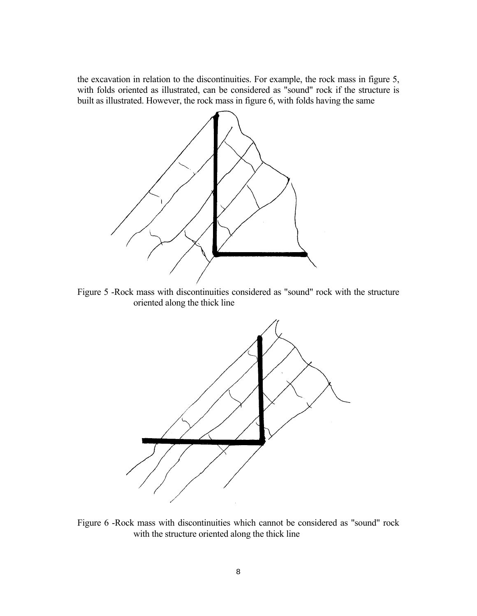the excavation in relation to the discontinuities. For example, the rock mass in figure 5, with folds oriented as illustrated, can be considered as "sound" rock if the structure is built as illustrated. However, the rock mass in figure 6, with folds having the same



Figure 5 -Rock mass with discontinuities considered as "sound" rock with the structure oriented along the thick line



Figure 6 -Rock mass with discontinuities which cannot be considered as "sound" rock with the structure oriented along the thick line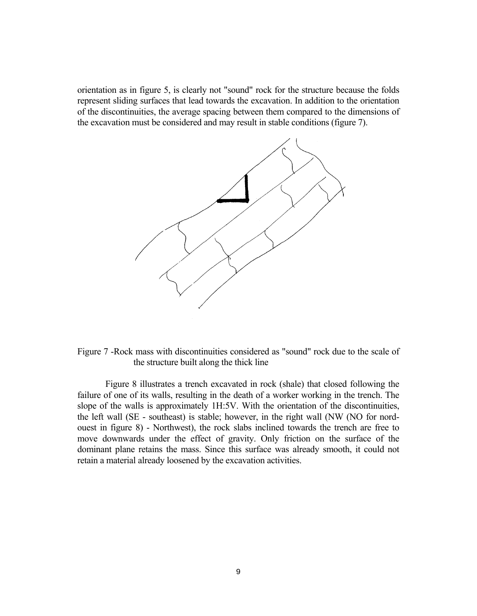orientation as in figure 5, is clearly not "sound" rock for the structure because the folds represent sliding surfaces that lead towards the excavation. In addition to the orientation of the discontinuities, the average spacing between them compared to the dimensions of the excavation must be considered and may result in stable conditions (figure 7).



Figure 7 -Rock mass with discontinuities considered as "sound" rock due to the scale of the structure built along the thick line

 Figure 8 illustrates a trench excavated in rock (shale) that closed following the failure of one of its walls, resulting in the death of a worker working in the trench. The slope of the walls is approximately 1H:5V. With the orientation of the discontinuities, the left wall (SE - southeast) is stable; however, in the right wall (NW (NO for nordouest in figure 8) - Northwest), the rock slabs inclined towards the trench are free to move downwards under the effect of gravity. Only friction on the surface of the dominant plane retains the mass. Since this surface was already smooth, it could not retain a material already loosened by the excavation activities.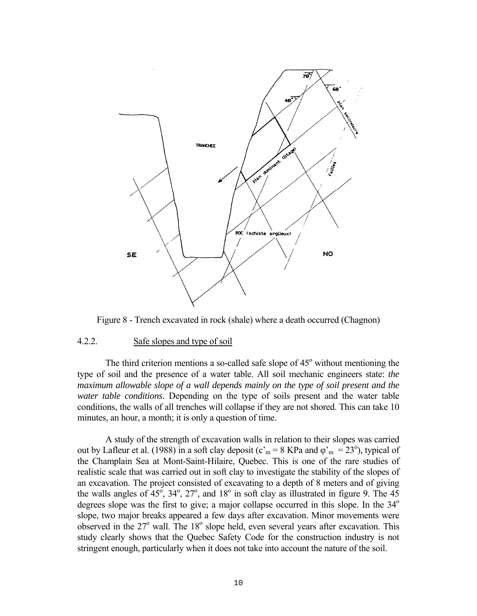

Figure 8 - Trench excavated in rock (shale) where a death occurred (Chagnon)

#### 4.2.2. Safe slopes and type of soil

The third criterion mentions a so-called safe slope of  $45^\circ$  without mentioning the type of soil and the presence of a water table. All soil mechanic engineers state: *the maximum allowable slope of a wall depends mainly on the type of soil present and the water table conditions*. Depending on the type of soils present and the water table conditions, the walls of all trenches will collapse if they are not shored. This can take 10 minutes, an hour, a month; it is only a question of time.

 A study of the strength of excavation walls in relation to their slopes was carried out by Lafleur et al. (1988) in a soft clay deposit ( $c<sub>m</sub> = 8$  KPa and  $\varphi<sub>m</sub> = 23<sup>o</sup>$ ), typical of the Champlain Sea at Mont-Saint-Hilaire, Quebec. This is one of the rare studies of realistic scale that was carried out in soft clay to investigate the stability of the slopes of an excavation. The project consisted of excavating to a depth of 8 meters and of giving the walls angles of  $45^{\circ}$ ,  $34^{\circ}$ ,  $27^{\circ}$ , and  $18^{\circ}$  in soft clay as illustrated in figure 9. The 45 degrees slope was the first to give; a major collapse occurred in this slope. In the  $34^\circ$ slope, two major breaks appeared a few days after excavation. Minor movements were observed in the 27° wall. The 18° slope held, even several years after excavation. This study clearly shows that the Quebec Safety Code for the construction industry is not stringent enough, particularly when it does not take into account the nature of the soil.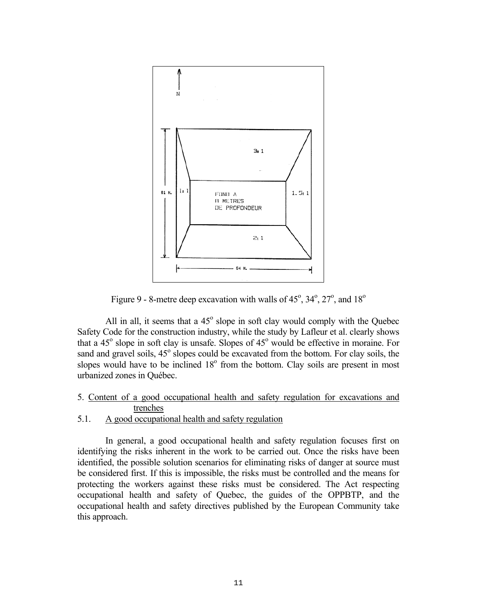

Figure 9 - 8-metre deep excavation with walls of  $45^\circ$ ,  $34^\circ$ ,  $27^\circ$ , and  $18^\circ$ 

All in all, it seems that a  $45^\circ$  slope in soft clay would comply with the Quebec Safety Code for the construction industry, while the study by Lafleur et al. clearly shows that a  $45^\circ$  slope in soft clay is unsafe. Slopes of  $45^\circ$  would be effective in moraine. For sand and gravel soils, 45<sup>°</sup> slopes could be excavated from the bottom. For clay soils, the slopes would have to be inclined  $18^{\circ}$  from the bottom. Clay soils are present in most urbanized zones in Québec.

# 5. Content of a good occupational health and safety regulation for excavations and trenches

# 5.1. A good occupational health and safety regulation

 In general, a good occupational health and safety regulation focuses first on identifying the risks inherent in the work to be carried out. Once the risks have been identified, the possible solution scenarios for eliminating risks of danger at source must be considered first. If this is impossible, the risks must be controlled and the means for protecting the workers against these risks must be considered. The Act respecting occupational health and safety of Quebec, the guides of the OPPBTP, and the occupational health and safety directives published by the European Community take this approach.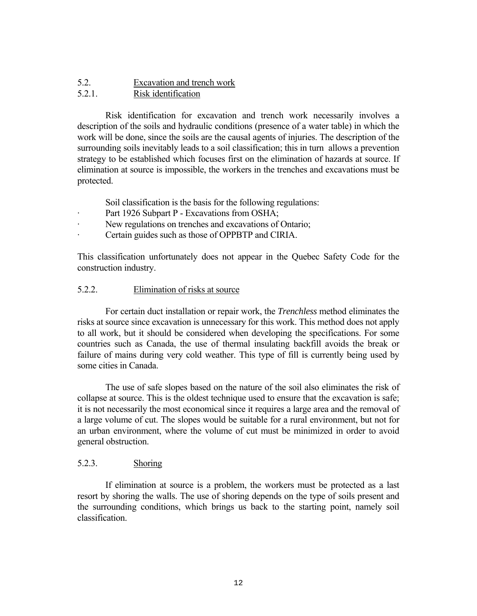# 5.2. Excavation and trench work

# 5.2.1. Risk identification

 Risk identification for excavation and trench work necessarily involves a description of the soils and hydraulic conditions (presence of a water table) in which the work will be done, since the soils are the causal agents of injuries. The description of the surrounding soils inevitably leads to a soil classification; this in turn allows a prevention strategy to be established which focuses first on the elimination of hazards at source. If elimination at source is impossible, the workers in the trenches and excavations must be protected.

Soil classification is the basis for the following regulations:

- Part 1926 Subpart P Excavations from OSHA;
- · New regulations on trenches and excavations of Ontario;
- · Certain guides such as those of OPPBTP and CIRIA.

This classification unfortunately does not appear in the Quebec Safety Code for the construction industry.

# 5.2.2. Elimination of risks at source

 For certain duct installation or repair work, the *Trenchless* method eliminates the risks at source since excavation is unnecessary for this work. This method does not apply to all work, but it should be considered when developing the specifications. For some countries such as Canada, the use of thermal insulating backfill avoids the break or failure of mains during very cold weather. This type of fill is currently being used by some cities in Canada.

 The use of safe slopes based on the nature of the soil also eliminates the risk of collapse at source. This is the oldest technique used to ensure that the excavation is safe; it is not necessarily the most economical since it requires a large area and the removal of a large volume of cut. The slopes would be suitable for a rural environment, but not for an urban environment, where the volume of cut must be minimized in order to avoid general obstruction.

# 5.2.3. Shoring

 If elimination at source is a problem, the workers must be protected as a last resort by shoring the walls. The use of shoring depends on the type of soils present and the surrounding conditions, which brings us back to the starting point, namely soil classification.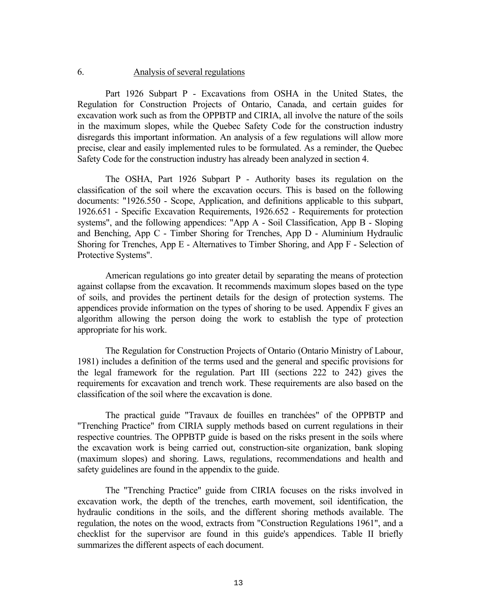### 6. Analysis of several regulations

 Part 1926 Subpart P - Excavations from OSHA in the United States, the Regulation for Construction Projects of Ontario, Canada, and certain guides for excavation work such as from the OPPBTP and CIRIA, all involve the nature of the soils in the maximum slopes, while the Quebec Safety Code for the construction industry disregards this important information. An analysis of a few regulations will allow more precise, clear and easily implemented rules to be formulated. As a reminder, the Quebec Safety Code for the construction industry has already been analyzed in section 4.

 The OSHA, Part 1926 Subpart P - Authority bases its regulation on the classification of the soil where the excavation occurs. This is based on the following documents: "1926.550 - Scope, Application, and definitions applicable to this subpart, 1926.651 - Specific Excavation Requirements, 1926.652 - Requirements for protection systems", and the following appendices: "App A - Soil Classification, App B - Sloping and Benching, App C - Timber Shoring for Trenches, App D - Aluminium Hydraulic Shoring for Trenches, App E - Alternatives to Timber Shoring, and App F - Selection of Protective Systems".

 American regulations go into greater detail by separating the means of protection against collapse from the excavation. It recommends maximum slopes based on the type of soils, and provides the pertinent details for the design of protection systems. The appendices provide information on the types of shoring to be used. Appendix F gives an algorithm allowing the person doing the work to establish the type of protection appropriate for his work.

 The Regulation for Construction Projects of Ontario (Ontario Ministry of Labour, 1981) includes a definition of the terms used and the general and specific provisions for the legal framework for the regulation. Part III (sections 222 to 242) gives the requirements for excavation and trench work. These requirements are also based on the classification of the soil where the excavation is done.

 The practical guide "Travaux de fouilles en tranchées" of the OPPBTP and "Trenching Practice" from CIRIA supply methods based on current regulations in their respective countries. The OPPBTP guide is based on the risks present in the soils where the excavation work is being carried out, construction-site organization, bank sloping (maximum slopes) and shoring. Laws, regulations, recommendations and health and safety guidelines are found in the appendix to the guide.

 The "Trenching Practice" guide from CIRIA focuses on the risks involved in excavation work, the depth of the trenches, earth movement, soil identification, the hydraulic conditions in the soils, and the different shoring methods available. The regulation, the notes on the wood, extracts from "Construction Regulations 1961", and a checklist for the supervisor are found in this guide's appendices. Table II briefly summarizes the different aspects of each document.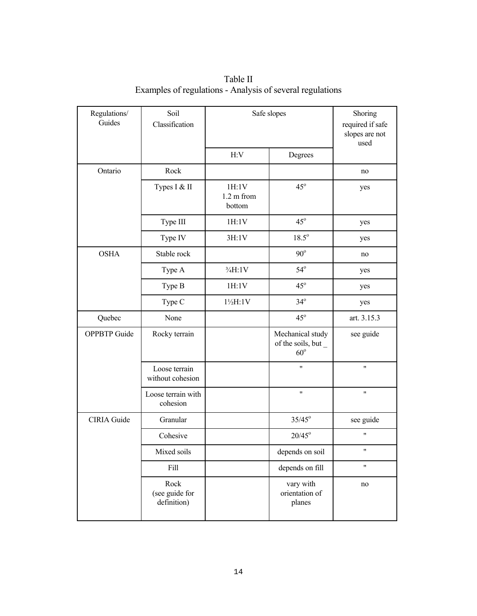| Regulations/<br>Guides | Soil<br>Classification                | Safe slopes                             |                                                         | Shoring<br>required if safe<br>slopes are not<br>used |
|------------------------|---------------------------------------|-----------------------------------------|---------------------------------------------------------|-------------------------------------------------------|
|                        |                                       | H:V                                     | Degrees                                                 |                                                       |
| Ontario                | Rock                                  |                                         |                                                         | no                                                    |
|                        | Types I & II                          | 1H:1V<br>$1.2 \text{ m from}$<br>bottom | $45^\circ$                                              | yes                                                   |
|                        | Type III                              | 1H:1V                                   | $45^{\circ}$                                            | yes                                                   |
|                        | Type IV                               | 3H:1V                                   | $18.5^\circ$                                            | yes                                                   |
| <b>OSHA</b>            | Stable rock                           |                                         | $90^\circ$                                              | no                                                    |
|                        | Type A                                | $\frac{3}{4}H:1V$                       | $54^\circ$                                              | yes                                                   |
|                        | Type B                                | 1H:1V                                   | $45^\circ$                                              | yes                                                   |
|                        | Type C                                | $1\frac{1}{2}H:1V$                      | $34^\circ$                                              | yes                                                   |
| Quebec                 | None                                  |                                         | $45^{\circ}$                                            | art. 3.15.3                                           |
| <b>OPPBTP</b> Guide    | Rocky terrain                         |                                         | Mechanical study<br>of the soils, but _<br>$60^{\circ}$ | see guide                                             |
|                        | Loose terrain<br>without cohesion     |                                         | Ħ                                                       | Ħ                                                     |
|                        | Loose terrain with<br>cohesion        |                                         | Ħ                                                       | 11                                                    |
| <b>CIRIA</b> Guide     | Granular                              |                                         | $35/45^{\circ}$                                         | see guide                                             |
|                        | Cohesive                              |                                         | $20/45^{\circ}$                                         | 11                                                    |
|                        | Mixed soils                           |                                         | depends on soil                                         | 11                                                    |
|                        | Fill                                  |                                         | depends on fill                                         | 11                                                    |
|                        | Rock<br>(see guide for<br>definition) |                                         | vary with<br>orientation of<br>planes                   | no                                                    |

 Table II Examples of regulations - Analysis of several regulations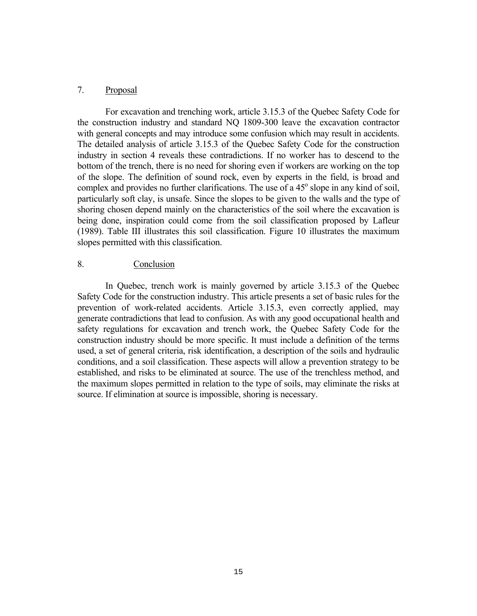### 7. Proposal

 For excavation and trenching work, article 3.15.3 of the Quebec Safety Code for the construction industry and standard NQ 1809-300 leave the excavation contractor with general concepts and may introduce some confusion which may result in accidents. The detailed analysis of article 3.15.3 of the Quebec Safety Code for the construction industry in section 4 reveals these contradictions. If no worker has to descend to the bottom of the trench, there is no need for shoring even if workers are working on the top of the slope. The definition of sound rock, even by experts in the field, is broad and complex and provides no further clarifications. The use of a  $45^{\circ}$  slope in any kind of soil, particularly soft clay, is unsafe. Since the slopes to be given to the walls and the type of shoring chosen depend mainly on the characteristics of the soil where the excavation is being done, inspiration could come from the soil classification proposed by Lafleur (1989). Table III illustrates this soil classification. Figure 10 illustrates the maximum slopes permitted with this classification.

### 8. Conclusion

 In Quebec, trench work is mainly governed by article 3.15.3 of the Quebec Safety Code for the construction industry. This article presents a set of basic rules for the prevention of work-related accidents. Article 3.15.3, even correctly applied, may generate contradictions that lead to confusion. As with any good occupational health and safety regulations for excavation and trench work, the Quebec Safety Code for the construction industry should be more specific. It must include a definition of the terms used, a set of general criteria, risk identification, a description of the soils and hydraulic conditions, and a soil classification. These aspects will allow a prevention strategy to be established, and risks to be eliminated at source. The use of the trenchless method, and the maximum slopes permitted in relation to the type of soils, may eliminate the risks at source. If elimination at source is impossible, shoring is necessary.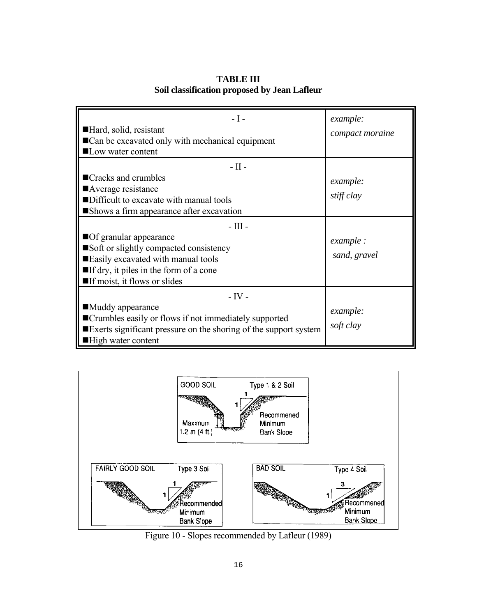| $-I -$<br>Hard, solid, resistant<br>■ Can be excavated only with mechanical equipment<br>■ Low water content                                                                                                                                                                              | example:<br>compact moraine                                |
|-------------------------------------------------------------------------------------------------------------------------------------------------------------------------------------------------------------------------------------------------------------------------------------------|------------------------------------------------------------|
| $-$ II $-$<br>■Cracks and crumbles<br>■Average resistance<br>Difficult to excavate with manual tools<br>Shows a firm appearance after excavation<br>$-$ III $-$<br>Of granular appearance<br>Soft or slightly compacted consistency<br>Easily excavated with manual tools                 | example:<br>stiff clay<br><i>example</i> :<br>sand, gravel |
| $\blacksquare$ If dry, it piles in the form of a cone<br>$\blacksquare$ If moist, it flows or slides<br>$-IV -$<br>■Muddy appearance<br>■Crumbles easily or flows if not immediately supported<br>Exerts significant pressure on the shoring of the support system<br>■High water content | example:<br>soft clay                                      |

**TABLE III Soil classification proposed by Jean Lafleur**



Figure 10 - Slopes recommended by Lafleur (1989)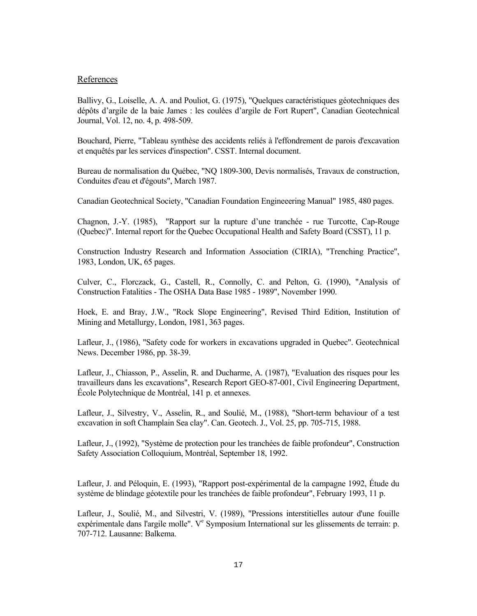#### References

Ballivy, G., Loiselle, A. A. and Pouliot, G. (1975), "Quelques caractéristiques géotechniques des dépôts d'argile de la baie James : les coulées d'argile de Fort Rupert", Canadian Geotechnical Journal, Vol. 12, no. 4, p. 498-509.

Bouchard, Pierre, "Tableau synthèse des accidents reliés à l'effondrement de parois d'excavation et enquêtés par les services d'inspection". CSST. Internal document.

Bureau de normalisation du Québec, "NQ 1809-300, Devis normalisés, Travaux de construction, Conduites d'eau et d'égouts", March 1987.

Canadian Geotechnical Society, "Canadian Foundation Engineeering Manual" 1985, 480 pages.

Chagnon, J.-Y. (1985), "Rapport sur la rupture d'une tranchée - rue Turcotte, Cap-Rouge (Quebec)". Internal report for the Quebec Occupational Health and Safety Board (CSST), 11 p.

Construction Industry Research and Information Association (CIRIA), "Trenching Practice", 1983, London, UK, 65 pages.

Culver, C., Florczack, G., Castell, R., Connolly, C. and Pelton, G. (1990), "Analysis of Construction Fatalities - The OSHA Data Base 1985 - 1989", November 1990.

Hoek, E. and Bray, J.W., "Rock Slope Engineering", Revised Third Edition, Institution of Mining and Metallurgy, London, 1981, 363 pages.

Lafleur, J., (1986), "Safety code for workers in excavations upgraded in Quebec". Geotechnical News. December 1986, pp. 38-39.

Lafleur, J., Chiasson, P., Asselin, R. and Ducharme, A. (1987), "Evaluation des risques pour les travailleurs dans les excavations", Research Report GEO-87-001, Civil Engineering Department, École Polytechnique de Montréal, 141 p. et annexes.

Lafleur, J., Silvestry, V., Asselin, R., and Soulié, M., (1988), "Short-term behaviour of a test excavation in soft Champlain Sea clay". Can. Geotech. J., Vol. 25, pp. 705-715, 1988.

Lafleur, J., (1992), "Système de protection pour les tranchées de faible profondeur", Construction Safety Association Colloquium, Montréal, September 18, 1992.

Lafleur, J. and Péloquin, E. (1993), "Rapport post-expérimental de la campagne 1992, Étude du système de blindage géotextile pour les tranchées de faible profondeur", February 1993, 11 p.

Lafleur, J., Soulié, M., and Silvestri, V. (1989), "Pressions interstitielles autour d'une fouille expérimentale dans l'argile molle". V<sup>e</sup> Symposium International sur les glissements de terrain: p. 707-712. Lausanne: Balkema.